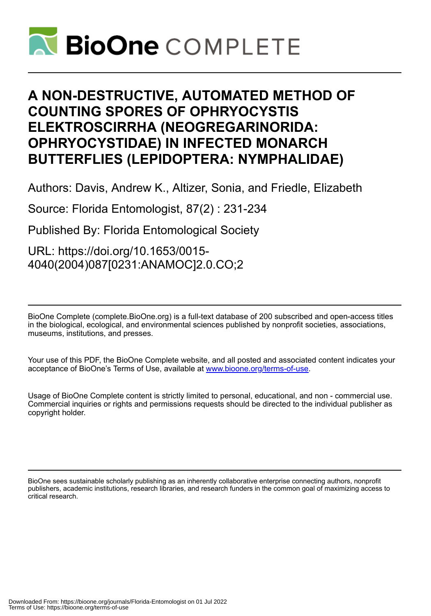

# **A NON-DESTRUCTIVE, AUTOMATED METHOD OF COUNTING SPORES OF OPHRYOCYSTIS ELEKTROSCIRRHA (NEOGREGARINORIDA: OPHRYOCYSTIDAE) IN INFECTED MONARCH BUTTERFLIES (LEPIDOPTERA: NYMPHALIDAE)**

Authors: Davis, Andrew K., Altizer, Sonia, and Friedle, Elizabeth

Source: Florida Entomologist, 87(2) : 231-234

Published By: Florida Entomological Society

URL: https://doi.org/10.1653/0015- 4040(2004)087[0231:ANAMOC]2.0.CO;2

BioOne Complete (complete.BioOne.org) is a full-text database of 200 subscribed and open-access titles in the biological, ecological, and environmental sciences published by nonprofit societies, associations, museums, institutions, and presses.

Your use of this PDF, the BioOne Complete website, and all posted and associated content indicates your acceptance of BioOne's Terms of Use, available at www.bioone.org/terms-of-use.

Usage of BioOne Complete content is strictly limited to personal, educational, and non - commercial use. Commercial inquiries or rights and permissions requests should be directed to the individual publisher as copyright holder.

BioOne sees sustainable scholarly publishing as an inherently collaborative enterprise connecting authors, nonprofit publishers, academic institutions, research libraries, and research funders in the common goal of maximizing access to critical research.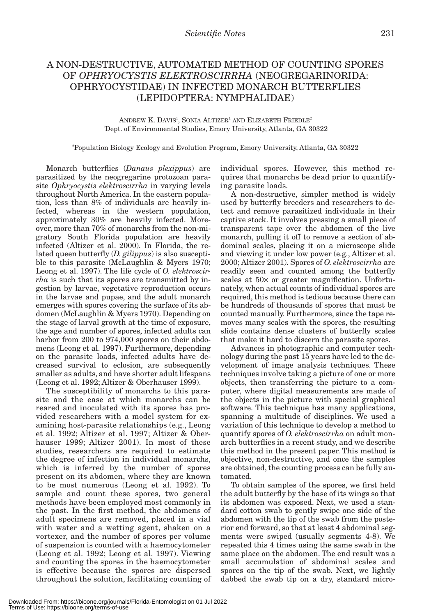## A NON-DESTRUCTIVE, AUTOMATED METHOD OF COUNTING SPORES OF *OPHRYOCYSTIS ELEKTROSCIRRHA* (NEOGREGARINORIDA: OPHRYOCYSTIDAE) IN INFECTED MONARCH BUTTERFLIES (LEPIDOPTERA: NYMPHALIDAE)

#### ANDREW K. DAVIS<sup>1</sup>, SONIA ALTIZER<sup>1</sup> AND ELIZABETH  $\rm FRIEDLE^{2}$ 1 Dept. of Environmental Studies, Emory University, Atlanta, GA 30322

#### 2 Population Biology Ecology and Evolution Program, Emory University, Atlanta, GA 30322

Monarch butterflies (*Danaus plexippus*) are parasitized by the neogregarine protozoan parasite *Ophryocystis elektroscirrha* in varying levels throughout North America. In the eastern population, less than 8% of individuals are heavily infected, whereas in the western population, approximately 30% are heavily infected. Moreover, more than 70% of monarchs from the non-migratory South Florida population are heavily infected (Altizer et al. 2000). In Florida, the related queen butterfly (*D. gilippus*) is also susceptible to this parasite (McLaughlin & Myers 1970; Leong et al. 1997). The life cycle of *O. elektroscirrha* is such that its spores are transmitted by ingestion by larvae, vegetative reproduction occurs in the larvae and pupae, and the adult monarch emerges with spores covering the surface of its abdomen (McLaughlin & Myers 1970). Depending on the stage of larval growth at the time of exposure, the age and number of spores, infected adults can harbor from 200 to 974,000 spores on their abdomens (Leong et al. 1997). Furthermore, depending on the parasite loads, infected adults have decreased survival to eclosion, are subsequently smaller as adults, and have shorter adult lifespans (Leong et al. 1992; Altizer & Oberhauser 1999).

The susceptibility of monarchs to this parasite and the ease at which monarchs can be reared and inoculated with its spores has provided researchers with a model system for examining host-parasite relationships (e.g., Leong et al. 1992; Altizer et al. 1997; Altizer & Oberhauser 1999; Altizer 2001). In most of these studies, researchers are required to estimate the degree of infection in individual monarchs, which is inferred by the number of spores present on its abdomen, where they are known to be most numerous (Leong et al. 1992). To sample and count these spores, two general methods have been employed most commonly in the past. In the first method, the abdomens of adult specimens are removed, placed in a vial with water and a wetting agent, shaken on a vortexer, and the number of spores per volume of suspension is counted with a haemocytometer (Leong et al. 1992; Leong et al. 1997). Viewing and counting the spores in the haemocytometer is effective because the spores are dispersed throughout the solution, facilitating counting of individual spores. However, this method requires that monarchs be dead prior to quantifying parasite loads.

A non-destructive, simpler method is widely used by butterfly breeders and researchers to detect and remove parasitized individuals in their captive stock. It involves pressing a small piece of transparent tape over the abdomen of the live monarch, pulling it off to remove a section of abdominal scales, placing it on a microscope slide and viewing it under low power (e.g., Altizer et al. 2000; Altizer 2001). Spores of *O. elektroscirrha* are readily seen and counted among the butterfly scales at  $50\times$  or greater magnification. Unfortunately, when actual counts of individual spores are required, this method is tedious because there can be hundreds of thousands of spores that must be counted manually. Furthermore, since the tape removes many scales with the spores, the resulting slide contains dense clusters of butterfly scales that make it hard to discern the parasite spores.

Advances in photographic and computer technology during the past 15 years have led to the development of image analysis techniques. These techniques involve taking a picture of one or more objects, then transferring the picture to a computer, where digital measurements are made of the objects in the picture with special graphical software. This technique has many applications, spanning a multitude of disciplines. We used a variation of this technique to develop a method to quantify spores of *O. elektroscirrha* on adult monarch butterflies in a recent study, and we describe this method in the present paper. This method is objective, non-destructive, and once the samples are obtained, the counting process can be fully automated.

To obtain samples of the spores, we first held the adult butterfly by the base of its wings so that its abdomen was exposed. Next, we used a standard cotton swab to gently swipe one side of the abdomen with the tip of the swab from the posterior end forward, so that at least 4 abdominal segments were swiped (usually segments 4-8). We repeated this 4 times using the same swab in the same place on the abdomen. The end result was a small accumulation of abdominal scales and spores on the tip of the swab. Next, we lightly dabbed the swab tip on a dry, standard micro-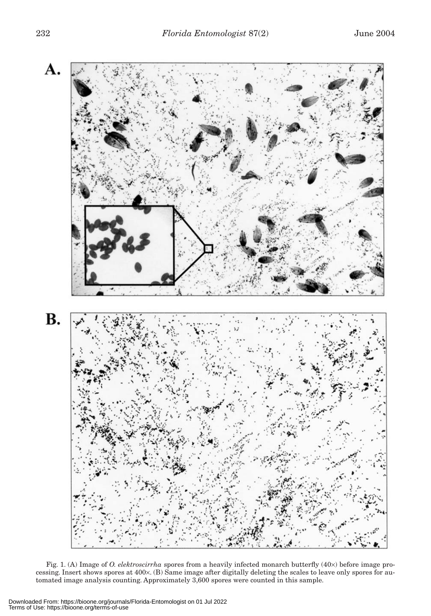

Fig. 1. (A) Image of *O. elektroscirrha* spores from a heavily infected monarch butterfly (40×) before image processing. Insert shows spores at 400×. (B) Same image after digitally deleting the scales to leave only spores for automated image analysis counting. Approximately 3,600 spores were counted in this sample.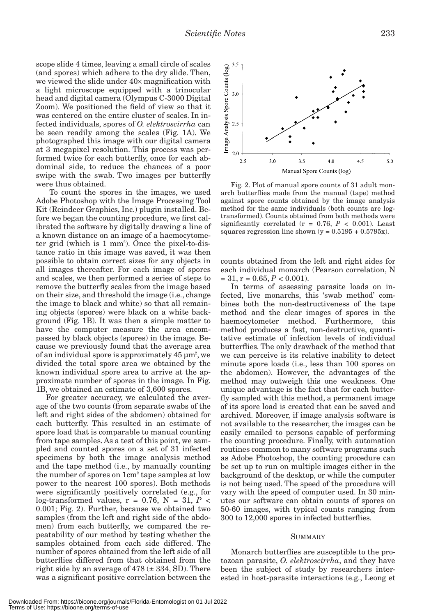scope slide 4 times, leaving a small circle of scales (and spores) which adhere to the dry slide. Then, we viewed the slide under  $40\times$  magnification with a light microscope equipped with a trinocular head and digital camera (Olympus C-3000 Digital Zoom). We positioned the field of view so that it was centered on the entire cluster of scales. In infected individuals, spores of *O. elektroscirrha* can be seen readily among the scales (Fig. 1A). We photographed this image with our digital camera at 3 megapixel resolution. This process was performed twice for each butterfly, once for each abdominal side, to reduce the chances of a poor swipe with the swab. Two images per butterfly were thus obtained.

To count the spores in the images, we used Adobe Photoshop with the Image Processing Tool Kit (Reindeer Graphics, Inc.) plugin installed. Before we began the counting procedure, we first calibrated the software by digitally drawing a line of a known distance on an image of a haemocytometer grid (which is  $1 \text{ mm}^2$ ). Once the pixel-to-distance ratio in this image was saved, it was then possible to obtain correct sizes for any objects in all images thereafter. For each image of spores and scales, we then performed a series of steps to remove the butterfly scales from the image based on their size, and threshold the image (i.e., change the image to black and white) so that all remaining objects (spores) were black on a white background (Fig. 1B). It was then a simple matter to have the computer measure the area encompassed by black objects (spores) in the image. Because we previously found that the average area of an individual spore is approximately  $45 \mu m^2$ , we divided the total spore area we obtained by the known individual spore area to arrive at the approximate number of spores in the image. In Fig. 1B, we obtained an estimate of 3,600 spores.

For greater accuracy, we calculated the average of the two counts (from separate swabs of the left and right sides of the abdomen) obtained for each butterfly. This resulted in an estimate of spore load that is comparable to manual counting from tape samples. As a test of this point, we sampled and counted spores on a set of 31 infected specimens by both the image analysis method and the tape method (i.e., by manually counting the number of spores on  $1 \text{cm}^2$  tape samples at low power to the nearest 100 spores). Both methods were significantly positively correlated (e.g., for log-transformed values, r = 0.76, N = 31, *P* < 0.001; Fig. 2). Further, because we obtained two samples (from the left and right side of the abdomen) from each butterfly, we compared the repeatability of our method by testing whether the samples obtained from each side differed. The number of spores obtained from the left side of all butterflies differed from that obtained from the right side by an average of  $478 (\pm 334, SD)$ . There was a significant positive correlation between the



Fig. 2. Plot of manual spore counts of 31 adult monarch butterflies made from the manual (tape) method against spore counts obtained by the image analysis method for the same individuals (both counts are logtransformed). Counts obtained from both methods were significantly correlated  $(r = 0.76, P < 0.001)$ . Least squares regression line shown (y =  $0.5195 + 0.5795x$ ).

counts obtained from the left and right sides for each individual monarch (Pearson correlation, N  $= 31$ ,  $r = 0.65$ ,  $P < 0.001$ ).

In terms of assessing parasite loads on infected, live monarchs, this 'swab method' combines both the non-destructiveness of the tape method and the clear images of spores in the haemocytometer method. Furthermore, this method produces a fast, non-destructive, quantitative estimate of infection levels of individual butterflies. The only drawback of the method that we can perceive is its relative inability to detect minute spore loads (i.e., less than 100 spores on the abdomen). However, the advantages of the method may outweigh this one weakness. One unique advantage is the fact that for each butterfly sampled with this method, a permanent image of its spore load is created that can be saved and archived. Moreover, if image analysis software is not available to the researcher, the images can be easily emailed to persons capable of performing the counting procedure. Finally, with automation routines common to many software programs such as Adobe Photoshop, the counting procedure can be set up to run on multiple images either in the background of the desktop, or while the computer is not being used. The speed of the procedure will vary with the speed of computer used. In 30 minutes our software can obtain counts of spores on 50-60 images, with typical counts ranging from 300 to 12,000 spores in infected butterflies.

#### **SUMMARY**

Monarch butterflies are susceptible to the protozoan parasite, *O. elektroscirrha*, and they have been the subject of study by researchers interested in host-parasite interactions (e.g., Leong et